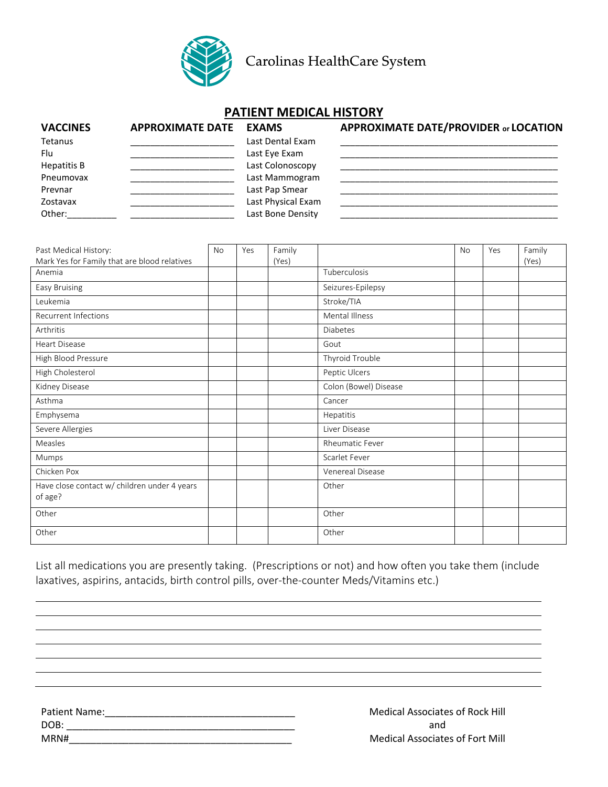

Carolinas HealthCare System

## **PATIENT MEDICAL HISTORY**

| <b>VACCINES</b> | <b>APPROXIMATE DATE EXAMS</b> |                    | APPROXIMATE DATE/PROVIDER or LOCATION |
|-----------------|-------------------------------|--------------------|---------------------------------------|
| Tetanus         |                               | Last Dental Exam   |                                       |
| Flu             |                               | Last Eye Exam      |                                       |
| Hepatitis B     |                               | Last Colonoscopy   |                                       |
| Pneumovax       |                               | Last Mammogram     |                                       |
| Prevnar         |                               | Last Pap Smear     |                                       |
| Zostavax        |                               | Last Physical Exam |                                       |
| Other:          |                               | Last Bone Density  |                                       |

| Past Medical History:                                   |  | Yes | Family |                        | <b>No</b> | Yes | Family |
|---------------------------------------------------------|--|-----|--------|------------------------|-----------|-----|--------|
| Mark Yes for Family that are blood relatives            |  |     | (Yes)  |                        |           |     | (Yes)  |
| Anemia                                                  |  |     |        | Tuberculosis           |           |     |        |
| Easy Bruising                                           |  |     |        | Seizures-Epilepsy      |           |     |        |
| Leukemia                                                |  |     |        | Stroke/TIA             |           |     |        |
| <b>Recurrent Infections</b>                             |  |     |        | Mental Illness         |           |     |        |
| Arthritis                                               |  |     |        | <b>Diabetes</b>        |           |     |        |
| <b>Heart Disease</b>                                    |  |     |        | Gout                   |           |     |        |
| High Blood Pressure                                     |  |     |        | Thyroid Trouble        |           |     |        |
| High Cholesterol                                        |  |     |        | Peptic Ulcers          |           |     |        |
| Kidney Disease                                          |  |     |        | Colon (Bowel) Disease  |           |     |        |
| Asthma                                                  |  |     |        | Cancer                 |           |     |        |
| Emphysema                                               |  |     |        | Hepatitis              |           |     |        |
| Severe Allergies                                        |  |     |        | Liver Disease          |           |     |        |
| Measles                                                 |  |     |        | <b>Rheumatic Fever</b> |           |     |        |
| Mumps                                                   |  |     |        | Scarlet Fever          |           |     |        |
| Chicken Pox                                             |  |     |        | Venereal Disease       |           |     |        |
| Have close contact w/ children under 4 years<br>of age? |  |     |        | Other                  |           |     |        |
| Other                                                   |  |     |        | Other                  |           |     |        |
| Other                                                   |  |     |        | Other                  |           |     |        |

List all medications you are presently taking. (Prescriptions or not) and how often you take them (include laxatives, aspirins, antacids, birth control pills, over-the-counter Meds/Vitamins etc.)

Patient Name:\_\_\_\_\_\_\_\_\_\_\_\_\_\_\_\_\_\_\_\_\_\_\_\_\_\_\_\_\_\_\_\_\_\_\_ DOB: \_\_\_\_\_\_\_\_\_\_\_\_\_\_\_\_\_\_\_\_\_\_\_\_\_\_\_\_\_\_\_\_\_\_\_\_\_\_\_\_\_\_ MRN#\_\_\_\_\_\_\_\_\_\_\_\_\_\_\_\_\_\_\_\_\_\_\_\_\_\_\_\_\_\_\_\_\_\_\_\_\_\_\_\_\_

Medical Associates of Rock Hill and Medical Associates of Fort Mill